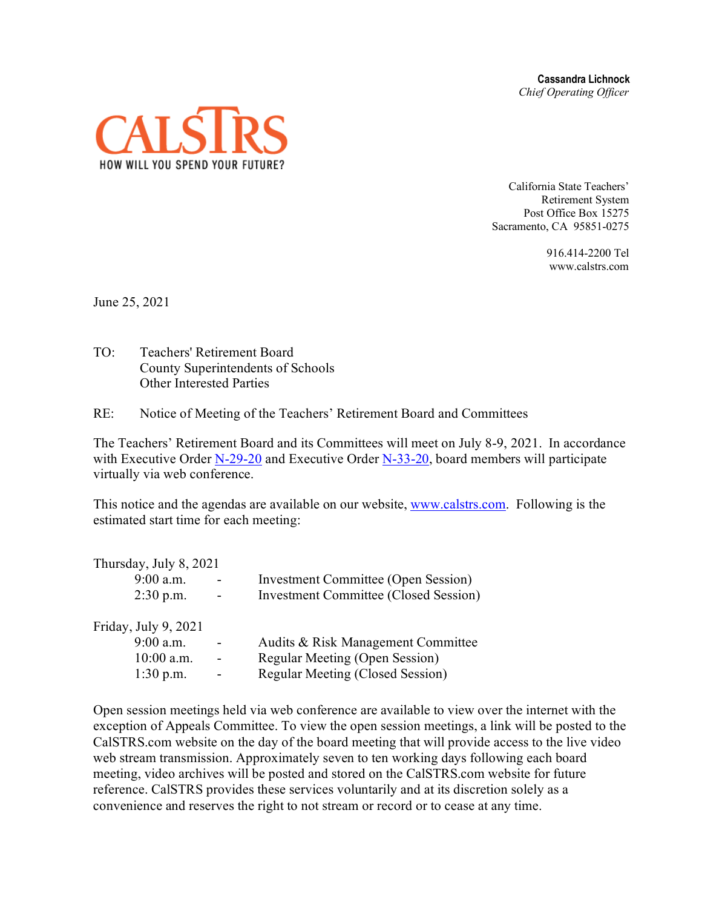**Cassandra Lichnock** *Chief Operating Officer*



California State Teachers' Retirement System Post Office Box 15275 Sacramento, CA 95851-0275

> 916.414-2200 Tel www.calstrs.com

June 25, 2021

TO: Teachers' Retirement Board County Superintendents of Schools Other Interested Parties

RE: Notice of Meeting of the Teachers' Retirement Board and Committees

The Teachers' Retirement Board and its Committees will meet on July 8-9, 2021. In accordance with Executive Order  $N-29-20$  and Executive Order  $N-33-20$ , board members will participate virtually via web conference.

This notice and the agendas are available on our website, [www.calstrs.com.](http://www.calstrs.com/) Following is the estimated start time for each meeting:

| Thursday, July 8, 2021 |                          |                                              |
|------------------------|--------------------------|----------------------------------------------|
| 9:00 a.m.              |                          | <b>Investment Committee (Open Session)</b>   |
| $2:30$ p.m.            | $\overline{\phantom{a}}$ | <b>Investment Committee (Closed Session)</b> |
| Friday, July 9, 2021   |                          |                                              |
| $9:00$ a.m.            |                          | Audits & Risk Management Committee           |
| $10:00$ a.m.           |                          | Regular Meeting (Open Session)               |
| $1:30$ p.m.            | $\overline{\phantom{0}}$ | Regular Meeting (Closed Session)             |

Open session meetings held via web conference are available to view over the internet with the exception of Appeals Committee. To view the open session meetings, a link will be posted to the CalSTRS.com website on the day of the board meeting that will provide access to the live video web stream transmission. Approximately seven to ten working days following each board meeting, video archives will be posted and stored on the CalSTRS.com website for future reference. CalSTRS provides these services voluntarily and at its discretion solely as a convenience and reserves the right to not stream or record or to cease at any time.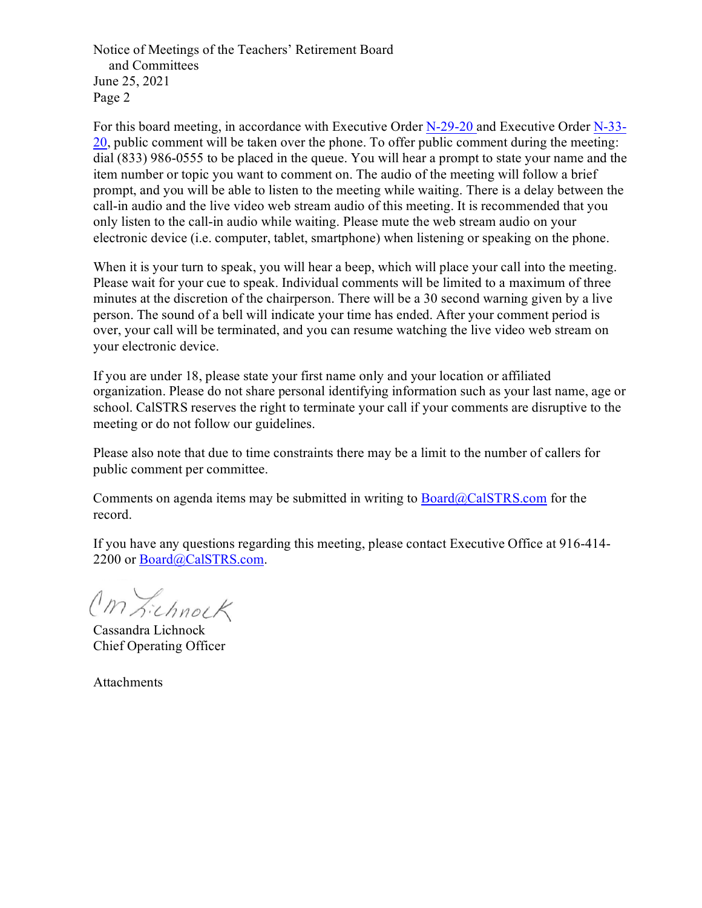Notice of Meetings of the Teachers' Retirement Board and Committees June 25, 2021 Page 2

For this board meeting, in accordance with Executive Order [N-29-20](https://www.gov.ca.gov/wp-content/uploads/2020/03/3.17.20-N-29-20-EO.pdf) and Executive Order [N-33-](https://covid19.ca.gov/img/Executive-Order-N-33-20.pdf)  $20$ , public comment will be taken over the phone. To offer public comment during the meeting: dial (833) 986-0555 to be placed in the queue. You will hear a prompt to state your name and the item number or topic you want to comment on. The audio of the meeting will follow a brief prompt, and you will be able to listen to the meeting while waiting. There is a delay between the call-in audio and the live video web stream audio of this meeting. It is recommended that you only listen to the call-in audio while waiting. Please mute the web stream audio on your electronic device (i.e. computer, tablet, smartphone) when listening or speaking on the phone.

When it is your turn to speak, you will hear a beep, which will place your call into the meeting. Please wait for your cue to speak. Individual comments will be limited to a maximum of three minutes at the discretion of the chairperson. There will be a 30 second warning given by a live person. The sound of a bell will indicate your time has ended. After your comment period is over, your call will be terminated, and you can resume watching the live video web stream on your electronic device.

If you are under 18, please state your first name only and your location or affiliated organization. Please do not share personal identifying information such as your last name, age or school. CalSTRS reserves the right to terminate your call if your comments are disruptive to the meeting or do not follow our guidelines.

Please also note that due to time constraints there may be a limit to the number of callers for public comment per committee.

Comments on agenda items may be submitted in writing to  $Board@CalSTRS.com$  for the record.

If you have any questions regarding this meeting, please contact Executive Office at 916-414- 2200 or [Board@CalSTRS.com.](mailto:Board@CalSTRS.com)

Cm Lichnock

Cassandra Lichnock Chief Operating Officer

Attachments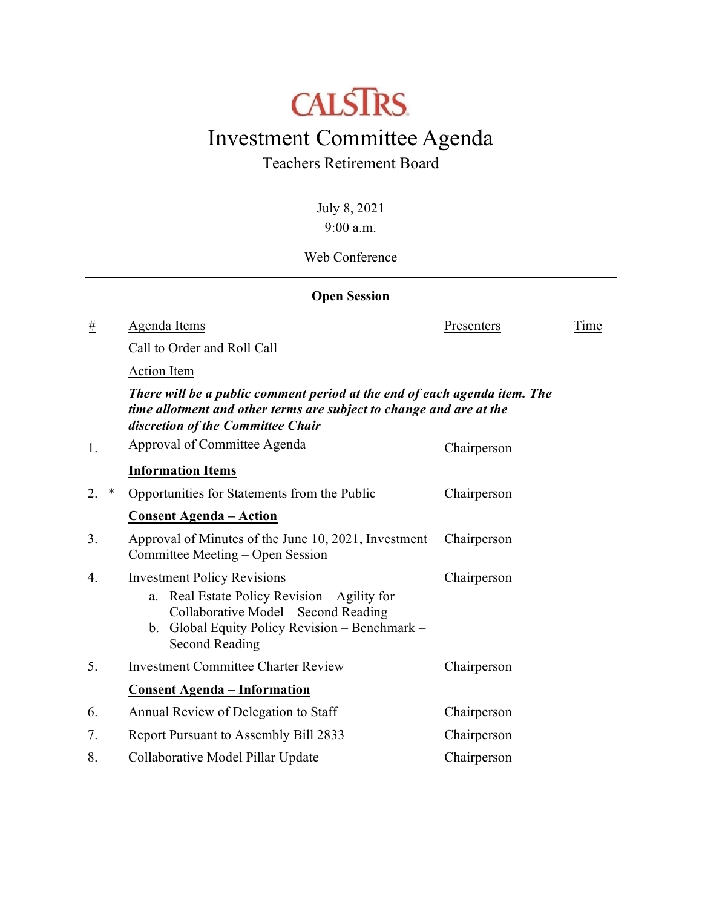# **CALSTRS**

# Investment Committee Agenda

Teachers Retirement Board

July 8, 2021 9:00 a.m. Web Conference **Open Session** # Agenda Items Presenters Time Call to Order and Roll Call Action Item *There will be a public comment period at the end of each agenda item. The time allotment and other terms are subject to change and are at the discretion of the Committee Chair* 1. Approval of Committee Agenda Chairperson **Information Items** 2. \* Opportunities for Statements from the Public Chairperson **Consent Agenda – Action** 3. Approval of Minutes of the June 10, 2021, Investment Committee Meeting – Open Session Chairperson 4. Investment Policy Revisions a. Real Estate Policy Revision – Agility for Collaborative Model – Second Reading b. Global Equity Policy Revision – Benchmark – Second Reading Chairperson 5. Investment Committee Charter Review Chairperson **Consent Agenda – Information** 6. Annual Review of Delegation to Staff Chairperson 7. Report Pursuant to Assembly Bill 2833 Chairperson 8. Collaborative Model Pillar Update Chairperson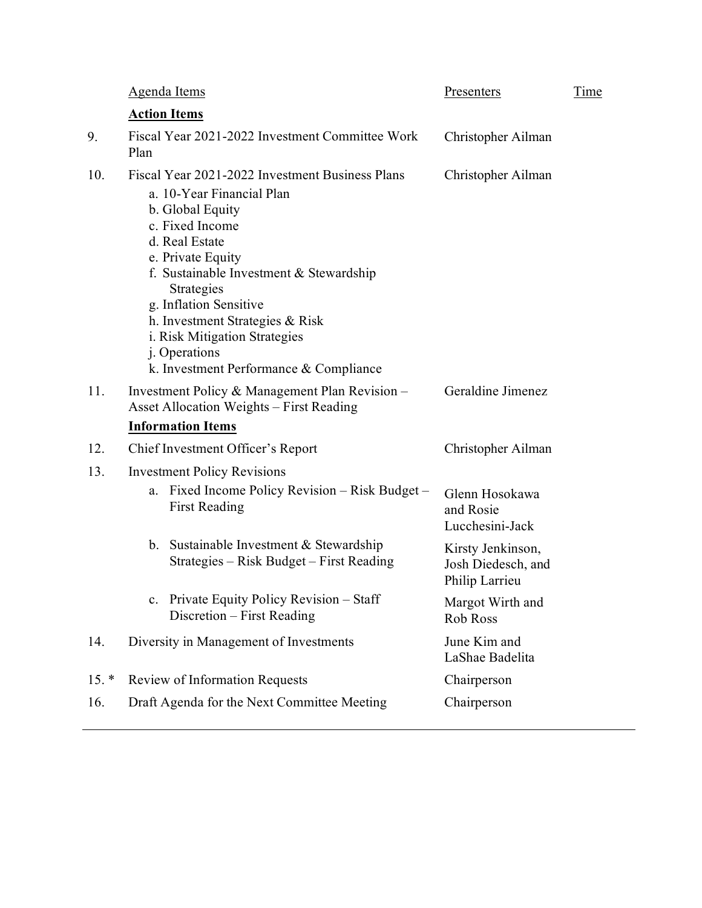|         | Agenda Items                                                                                                                                                                                                                                                                                                                                                                 | Presenters                                                | Time |
|---------|------------------------------------------------------------------------------------------------------------------------------------------------------------------------------------------------------------------------------------------------------------------------------------------------------------------------------------------------------------------------------|-----------------------------------------------------------|------|
|         | <b>Action Items</b>                                                                                                                                                                                                                                                                                                                                                          |                                                           |      |
| 9.      | Fiscal Year 2021-2022 Investment Committee Work<br>Plan                                                                                                                                                                                                                                                                                                                      | Christopher Ailman                                        |      |
| 10.     | Fiscal Year 2021-2022 Investment Business Plans<br>a. 10-Year Financial Plan<br>b. Global Equity<br>c. Fixed Income<br>d. Real Estate<br>e. Private Equity<br>f. Sustainable Investment & Stewardship<br>Strategies<br>g. Inflation Sensitive<br>h. Investment Strategies & Risk<br>i. Risk Mitigation Strategies<br>j. Operations<br>k. Investment Performance & Compliance | Christopher Ailman                                        |      |
| 11.     | Investment Policy & Management Plan Revision –<br><b>Asset Allocation Weights - First Reading</b>                                                                                                                                                                                                                                                                            | Geraldine Jimenez                                         |      |
|         | <b>Information Items</b>                                                                                                                                                                                                                                                                                                                                                     |                                                           |      |
| 12.     | Chief Investment Officer's Report                                                                                                                                                                                                                                                                                                                                            | Christopher Ailman                                        |      |
| 13.     | <b>Investment Policy Revisions</b>                                                                                                                                                                                                                                                                                                                                           |                                                           |      |
|         | Fixed Income Policy Revision – Risk Budget –<br>a.<br><b>First Reading</b>                                                                                                                                                                                                                                                                                                   | Glenn Hosokawa<br>and Rosie<br>Lucchesini-Jack            |      |
|         | b. Sustainable Investment & Stewardship<br>Strategies – Risk Budget – First Reading                                                                                                                                                                                                                                                                                          | Kirsty Jenkinson,<br>Josh Diedesch, and<br>Philip Larrieu |      |
|         | Private Equity Policy Revision - Staff<br>$c_{\cdot}$<br>Discretion – First Reading                                                                                                                                                                                                                                                                                          | Margot Wirth and<br>Rob Ross                              |      |
| 14.     | Diversity in Management of Investments                                                                                                                                                                                                                                                                                                                                       | June Kim and<br>LaShae Badelita                           |      |
| $15. *$ | <b>Review of Information Requests</b>                                                                                                                                                                                                                                                                                                                                        | Chairperson                                               |      |
| 16.     | Draft Agenda for the Next Committee Meeting                                                                                                                                                                                                                                                                                                                                  | Chairperson                                               |      |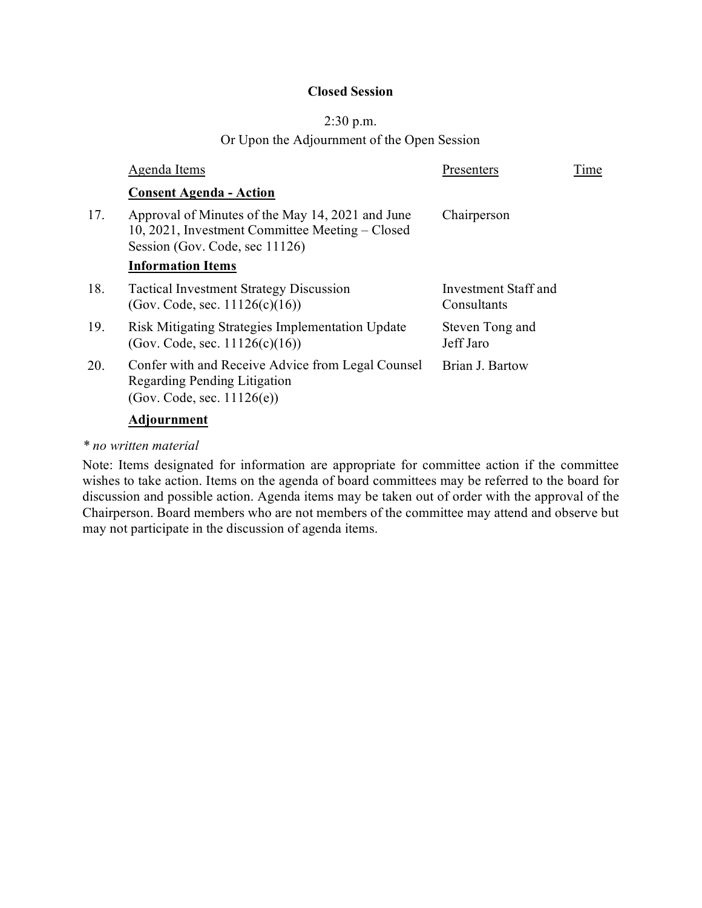#### **Closed Session**

#### 2:30 p.m.

Or Upon the Adjournment of the Open Session

|     | Agenda Items                                                                                                                          | Presenters                          | Time |
|-----|---------------------------------------------------------------------------------------------------------------------------------------|-------------------------------------|------|
|     | <b>Consent Agenda - Action</b>                                                                                                        |                                     |      |
| 17. | Approval of Minutes of the May 14, 2021 and June<br>10, 2021, Investment Committee Meeting – Closed<br>Session (Gov. Code, sec 11126) | Chairperson                         |      |
|     | <b>Information Items</b>                                                                                                              |                                     |      |
| 18. | <b>Tactical Investment Strategy Discussion</b><br>(Gov. Code, sec. 11126(c)(16))                                                      | Investment Staff and<br>Consultants |      |
| 19. | Risk Mitigating Strategies Implementation Update<br>(Gov. Code, sec. $11126(c)(16)$ )                                                 | Steven Tong and<br>Jeff Jaro        |      |
| 20. | Confer with and Receive Advice from Legal Counsel<br>Regarding Pending Litigation<br>(Gov. Code, sec. 11126(e))                       | Brian J. Bartow                     |      |
|     | <b>Adjournment</b>                                                                                                                    |                                     |      |

#### *\* no written material*

Note: Items designated for information are appropriate for committee action if the committee wishes to take action. Items on the agenda of board committees may be referred to the board for discussion and possible action. Agenda items may be taken out of order with the approval of the Chairperson. Board members who are not members of the committee may attend and observe but may not participate in the discussion of agenda items.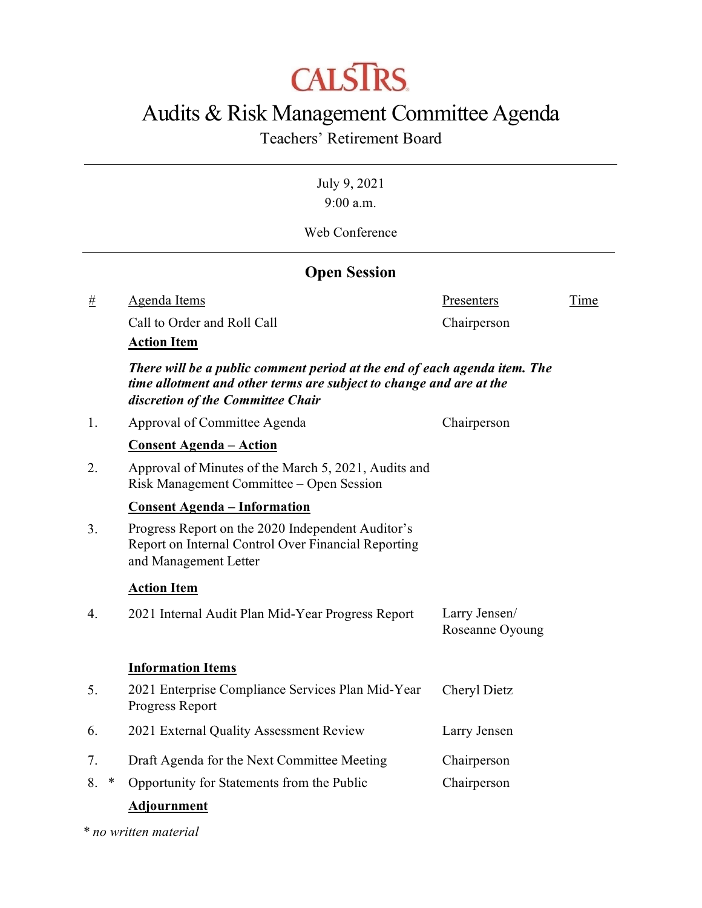# **CALSTRS**

# Audits & Risk Management Committee Agenda

## Teachers' Retirement Board

July 9, 2021 9:00 a.m.

Web Conference

### **Open Session**

# Agenda Items Presenters Time

Call to Order and Roll Call Call Chairperson

#### **Action Item**

*There will be a public comment period at the end of each agenda item. The time allotment and other terms are subject to change and are at the discretion of the Committee Chair*

1. Approval of Committee Agenda Chairperson

#### **Consent Agenda – Action**

2. Approval of Minutes of the March 5, 2021, Audits and Risk Management Committee – Open Session

#### **Consent Agenda – Information**

3. Progress Report on the 2020 Independent Auditor's Report on Internal Control Over Financial Reporting and Management Letter

#### **Action Item**

| 4. | 2021 Internal Audit Plan Mid-Year Progress Report | Larry Jensen/   |
|----|---------------------------------------------------|-----------------|
|    |                                                   | Roseanne Oyoung |

#### **Information Items**

| 5. |   | 2021 Enterprise Compliance Services Plan Mid-Year<br>Progress Report | Cheryl Dietz |
|----|---|----------------------------------------------------------------------|--------------|
| 6. |   | 2021 External Quality Assessment Review                              | Larry Jensen |
| 7. |   | Draft Agenda for the Next Committee Meeting                          | Chairperson  |
| 8. | ∗ | Opportunity for Statements from the Public                           | Chairperson  |
|    |   |                                                                      |              |

#### **Adjournment**

*\* no written material*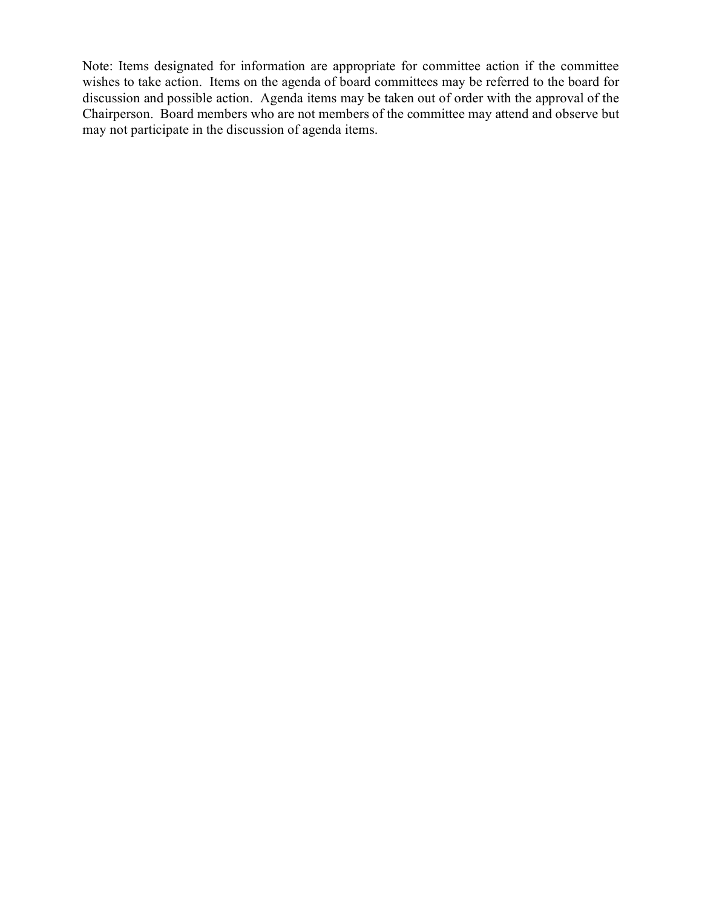Note: Items designated for information are appropriate for committee action if the committee wishes to take action. Items on the agenda of board committees may be referred to the board for discussion and possible action. Agenda items may be taken out of order with the approval of the Chairperson. Board members who are not members of the committee may attend and observe but may not participate in the discussion of agenda items.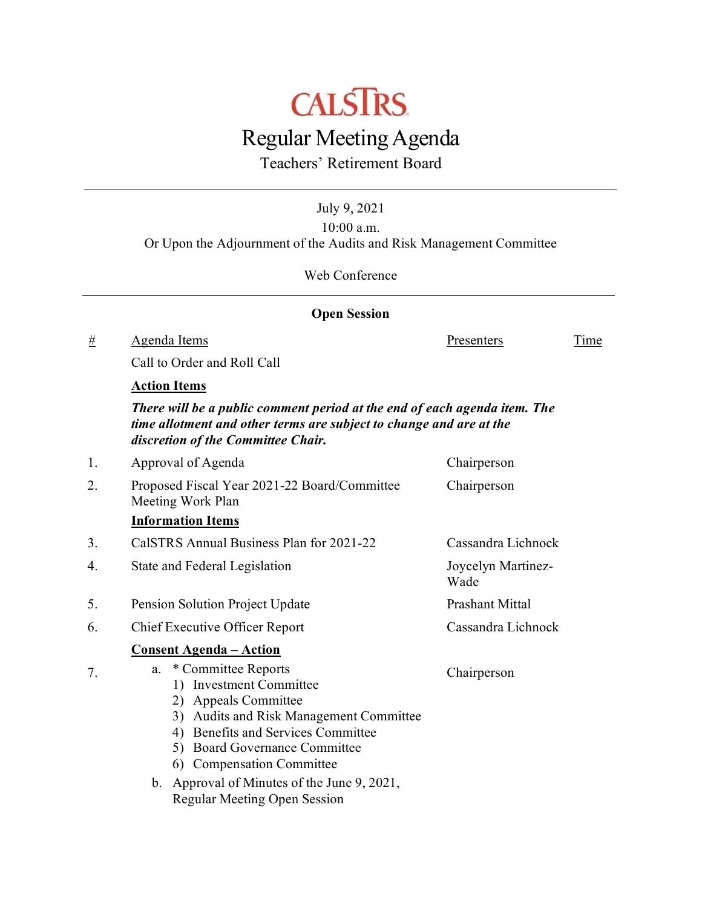

Teachers' Retirement Board

July 9, 2021

10:00 a.m. Or Upon the Adjournment of the Audits and Risk Management Committee

Web Conference

|    | <b>Open Session</b>                                                                                                                                                                                                                                                        |                            |      |
|----|----------------------------------------------------------------------------------------------------------------------------------------------------------------------------------------------------------------------------------------------------------------------------|----------------------------|------|
| #  | <b>Agenda Items</b>                                                                                                                                                                                                                                                        | Presenters                 | Time |
|    | Call to Order and Roll Call                                                                                                                                                                                                                                                |                            |      |
|    | <b>Action Items</b>                                                                                                                                                                                                                                                        |                            |      |
|    | There will be a public comment period at the end of each agenda item. The<br>time allotment and other terms are subject to change and are at the<br>discretion of the Committee Chair.                                                                                     |                            |      |
| 1. | Approval of Agenda                                                                                                                                                                                                                                                         | Chairperson                |      |
| 2. | Proposed Fiscal Year 2021-22 Board/Committee<br>Meeting Work Plan                                                                                                                                                                                                          | Chairperson                |      |
|    | <b>Information Items</b>                                                                                                                                                                                                                                                   |                            |      |
| 3. | CalSTRS Annual Business Plan for 2021-22                                                                                                                                                                                                                                   | Cassandra Lichnock         |      |
| 4. | State and Federal Legislation                                                                                                                                                                                                                                              | Joycelyn Martinez-<br>Wade |      |
| 5. | Pension Solution Project Update                                                                                                                                                                                                                                            | Prashant Mittal            |      |
| 6. | <b>Chief Executive Officer Report</b>                                                                                                                                                                                                                                      | Cassandra Lichnock         |      |
|    | <u> Consent Agenda – Action</u>                                                                                                                                                                                                                                            |                            |      |
| 7. | * Committee Reports<br>a.<br>1) Investment Committee<br>2) Appeals Committee<br>3) Audits and Risk Management Committee<br>4) Benefits and Services Committee<br>5) Board Governance Committee<br>6) Compensation Committee<br>b. Approval of Minutes of the June 9, 2021, | Chairperson                |      |

Regular Meeting Open Session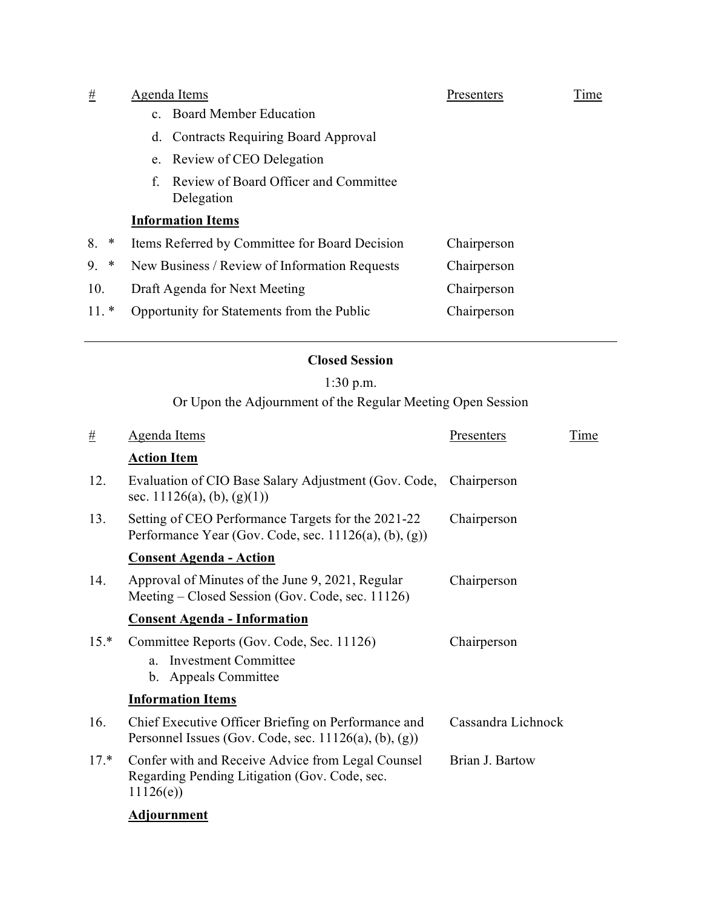| $\#$         | Agenda Items |                                                     | Presenters  | Time |
|--------------|--------------|-----------------------------------------------------|-------------|------|
|              |              | c. Board Member Education                           |             |      |
|              |              | d. Contracts Requiring Board Approval               |             |      |
|              |              | e. Review of CEO Delegation                         |             |      |
|              | f.           | Review of Board Officer and Committee<br>Delegation |             |      |
|              |              | <b>Information Items</b>                            |             |      |
| 8.<br>$\ast$ |              | Items Referred by Committee for Board Decision      | Chairperson |      |
| $\ast$<br>9. |              | New Business / Review of Information Requests       | Chairperson |      |
| 10.          |              | Draft Agenda for Next Meeting                       | Chairperson |      |
| $11.*$       |              | Opportunity for Statements from the Public          | Chairperson |      |

#### **Closed Session**

# 1:30 p.m.

Or Upon the Adjournment of the Regular Meeting Open Session

| #      | <b>Agenda Items</b>                                                                                             | Presenters         | Time |
|--------|-----------------------------------------------------------------------------------------------------------------|--------------------|------|
|        | <b>Action Item</b>                                                                                              |                    |      |
| 12.    | Evaluation of CIO Base Salary Adjustment (Gov. Code,<br>sec. 11126(a), (b), (g)(1))                             | Chairperson        |      |
| 13.    | Setting of CEO Performance Targets for the 2021-22<br>Performance Year (Gov. Code, sec. $11126(a)$ , (b), (g))  | Chairperson        |      |
|        | <b>Consent Agenda - Action</b>                                                                                  |                    |      |
| 14.    | Approval of Minutes of the June 9, 2021, Regular<br>Meeting – Closed Session (Gov. Code, sec. 11126)            | Chairperson        |      |
|        | <b>Consent Agenda - Information</b>                                                                             |                    |      |
| $15.*$ | Committee Reports (Gov. Code, Sec. 11126)                                                                       | Chairperson        |      |
|        | <b>Investment Committee</b><br>a <sub>1</sub><br><b>Appeals Committee</b><br>$b_{1}$                            |                    |      |
|        | <b>Information Items</b>                                                                                        |                    |      |
| 16.    | Chief Executive Officer Briefing on Performance and<br>Personnel Issues (Gov. Code, sec. $11126(a)$ , (b), (g)) | Cassandra Lichnock |      |
| $17.*$ | Confer with and Receive Advice from Legal Counsel<br>Regarding Pending Litigation (Gov. Code, sec.<br>11126(e)  | Brian J. Bartow    |      |
|        |                                                                                                                 |                    |      |

### **Adjournment**